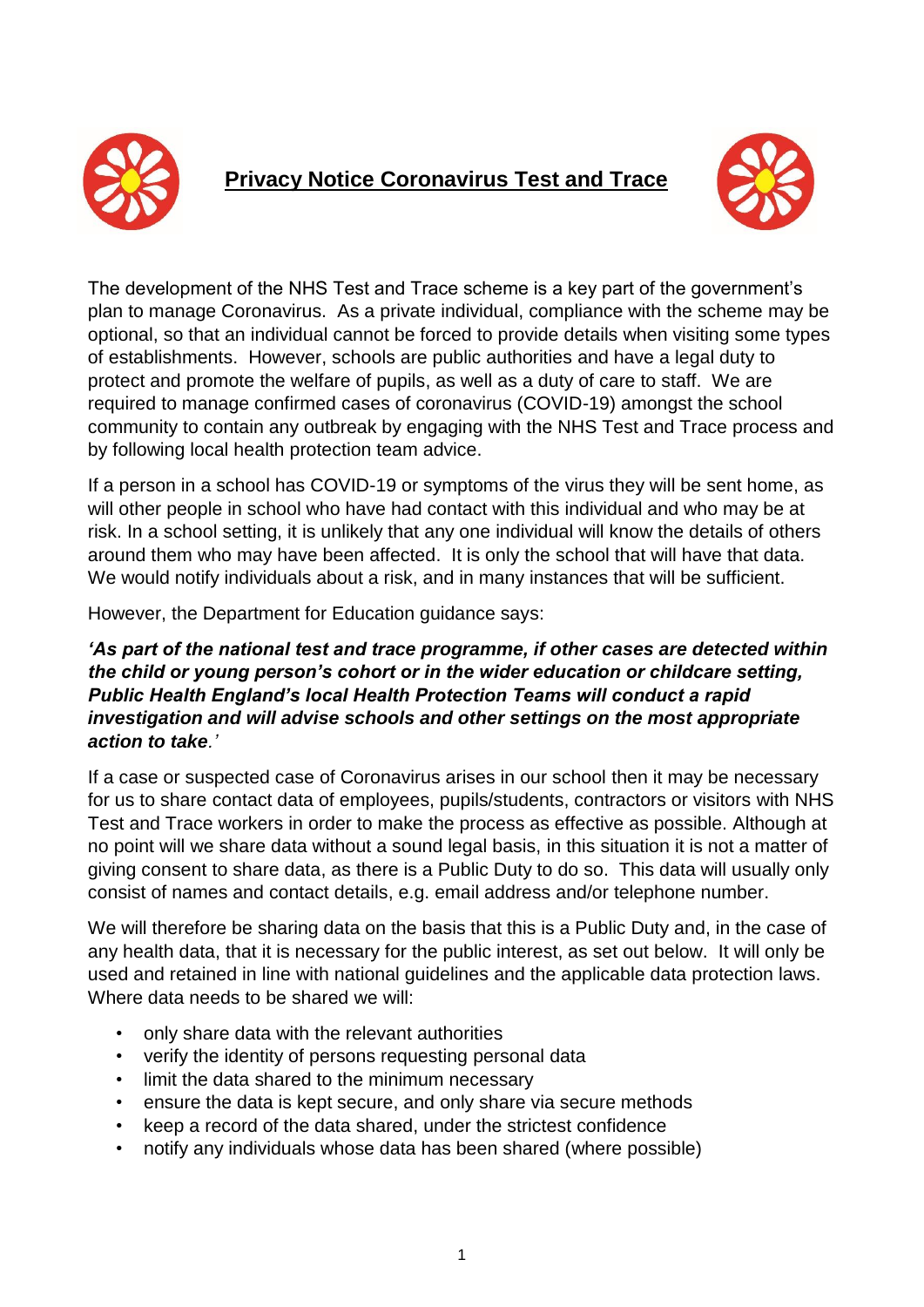

# **Privacy Notice Coronavirus Test and Trace**



The development of the NHS Test and Trace scheme is a key part of the government's plan to manage Coronavirus. As a private individual, compliance with the scheme may be optional, so that an individual cannot be forced to provide details when visiting some types of establishments. However, schools are public authorities and have a legal duty to protect and promote the welfare of pupils, as well as a duty of care to staff. We are required to manage confirmed cases of coronavirus (COVID-19) amongst the school community to contain any outbreak by engaging with the NHS Test and Trace process and by following local health protection team advice.

If a person in a school has COVID-19 or symptoms of the virus they will be sent home, as will other people in school who have had contact with this individual and who may be at risk. In a school setting, it is unlikely that any one individual will know the details of others around them who may have been affected. It is only the school that will have that data. We would notify individuals about a risk, and in many instances that will be sufficient.

However, the Department for Education guidance says:

## *'As part of the national test and trace programme, if other cases are detected within the child or young person's cohort or in the wider education or childcare setting, Public Health England's local Health Protection Teams will conduct a rapid investigation and will advise schools and other settings on the most appropriate action to take.'*

If a case or suspected case of Coronavirus arises in our school then it may be necessary for us to share contact data of employees, pupils/students, contractors or visitors with NHS Test and Trace workers in order to make the process as effective as possible. Although at no point will we share data without a sound legal basis, in this situation it is not a matter of giving consent to share data, as there is a Public Duty to do so. This data will usually only consist of names and contact details, e.g. email address and/or telephone number.

We will therefore be sharing data on the basis that this is a Public Duty and, in the case of any health data, that it is necessary for the public interest, as set out below. It will only be used and retained in line with national guidelines and the applicable data protection laws. Where data needs to be shared we will:

- only share data with the relevant authorities
- verify the identity of persons requesting personal data
- limit the data shared to the minimum necessary
- ensure the data is kept secure, and only share via secure methods
- keep a record of the data shared, under the strictest confidence
- notify any individuals whose data has been shared (where possible)